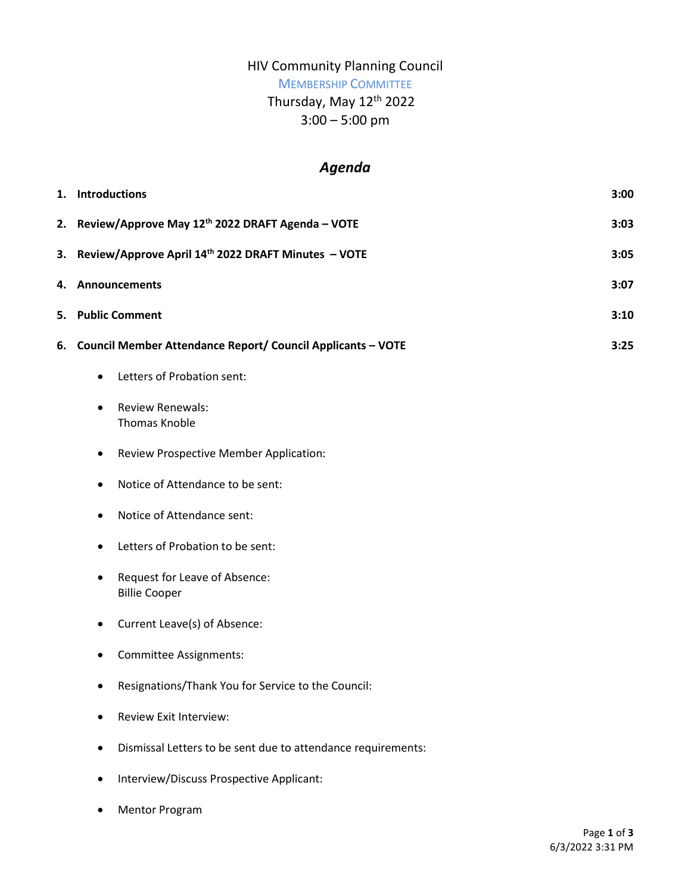## HIV Community Planning Council

# MEMBERSHIP COMMITTEE

# Thursday, May 12<sup>th</sup> 2022

3:00 – 5:00 pm

# *Agenda*

| 1. | <b>Introductions</b>                                               | 3:00 |
|----|--------------------------------------------------------------------|------|
|    | 2. Review/Approve May 12 <sup>th</sup> 2022 DRAFT Agenda - VOTE    | 3:03 |
| 3. | Review/Approve April 14th 2022 DRAFT Minutes - VOTE                | 3:05 |
|    | 4. Announcements                                                   | 3:07 |
|    | 5. Public Comment                                                  | 3:10 |
| 6. | Council Member Attendance Report/ Council Applicants - VOTE        | 3:25 |
|    | Letters of Probation sent:<br>$\bullet$                            |      |
|    | <b>Review Renewals:</b><br>$\bullet$<br><b>Thomas Knoble</b>       |      |
|    | <b>Review Prospective Member Application:</b><br>$\bullet$         |      |
|    | Notice of Attendance to be sent:<br>$\bullet$                      |      |
|    | Notice of Attendance sent:<br>$\bullet$                            |      |
|    | Letters of Probation to be sent:<br>٠                              |      |
|    | Request for Leave of Absence:<br>$\bullet$<br><b>Billie Cooper</b> |      |
|    | Current Leave(s) of Absence:<br>$\bullet$                          |      |
|    | Committee Assignments:<br>٠                                        |      |
|    | Resignations/Thank You for Service to the Council:<br>$\bullet$    |      |
|    | <b>Review Exit Interview:</b>                                      |      |
|    | Dismissal Letters to be sent due to attendance requirements:       |      |
|    | Interview/Discuss Prospective Applicant:                           |      |

Mentor Program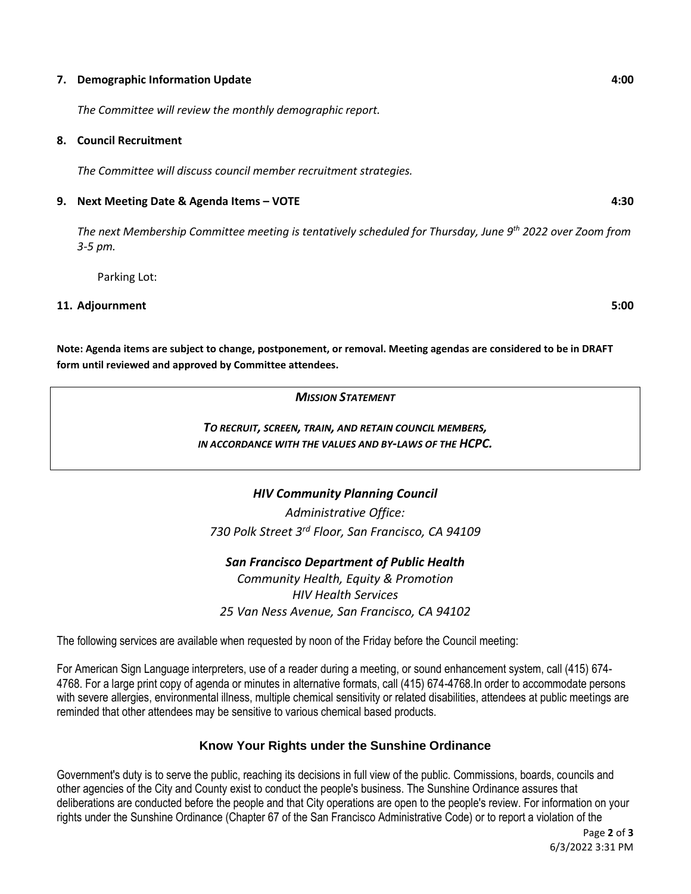#### **7. Demographic Information Update 4:00**

*The Committee will review the monthly demographic report.* 

#### **8. Council Recruitment**

*The Committee will discuss council member recruitment strategies.* 

#### **9. Next Meeting Date & Agenda Items – VOTE 4:30**

*The next Membership Committee meeting is tentatively scheduled for Thursday, June 9th 2022 over Zoom from 3-5 pm.* 

Parking Lot:

#### **11. Adjournment 5:00**

**Note: Agenda items are subject to change, postponement, or removal. Meeting agendas are considered to be in DRAFT form until reviewed and approved by Committee attendees.**

#### *MISSION STATEMENT*

## *TO RECRUIT, SCREEN, TRAIN, AND RETAIN COUNCIL MEMBERS, IN ACCORDANCE WITH THE VALUES AND BY-LAWS OF THE HCPC.*

## *HIV Community Planning Council*

*Administrative Office: 730 Polk Street 3rd Floor, San Francisco, CA 94109*

*San Francisco Department of Public Health Community Health, Equity & Promotion HIV Health Services 25 Van Ness Avenue, San Francisco, CA 94102*

The following services are available when requested by noon of the Friday before the Council meeting:

For American Sign Language interpreters, use of a reader during a meeting, or sound enhancement system, call (415) 674- 4768. For a large print copy of agenda or minutes in alternative formats, call (415) 674-4768.In order to accommodate persons with severe allergies, environmental illness, multiple chemical sensitivity or related disabilities, attendees at public meetings are reminded that other attendees may be sensitive to various chemical based products.

## **Know Your Rights under the Sunshine Ordinance**

Government's duty is to serve the public, reaching its decisions in full view of the public. Commissions, boards, councils and other agencies of the City and County exist to conduct the people's business. The Sunshine Ordinance assures that deliberations are conducted before the people and that City operations are open to the people's review. For information on your rights under the Sunshine Ordinance (Chapter 67 of the San Francisco Administrative Code) or to report a violation of the